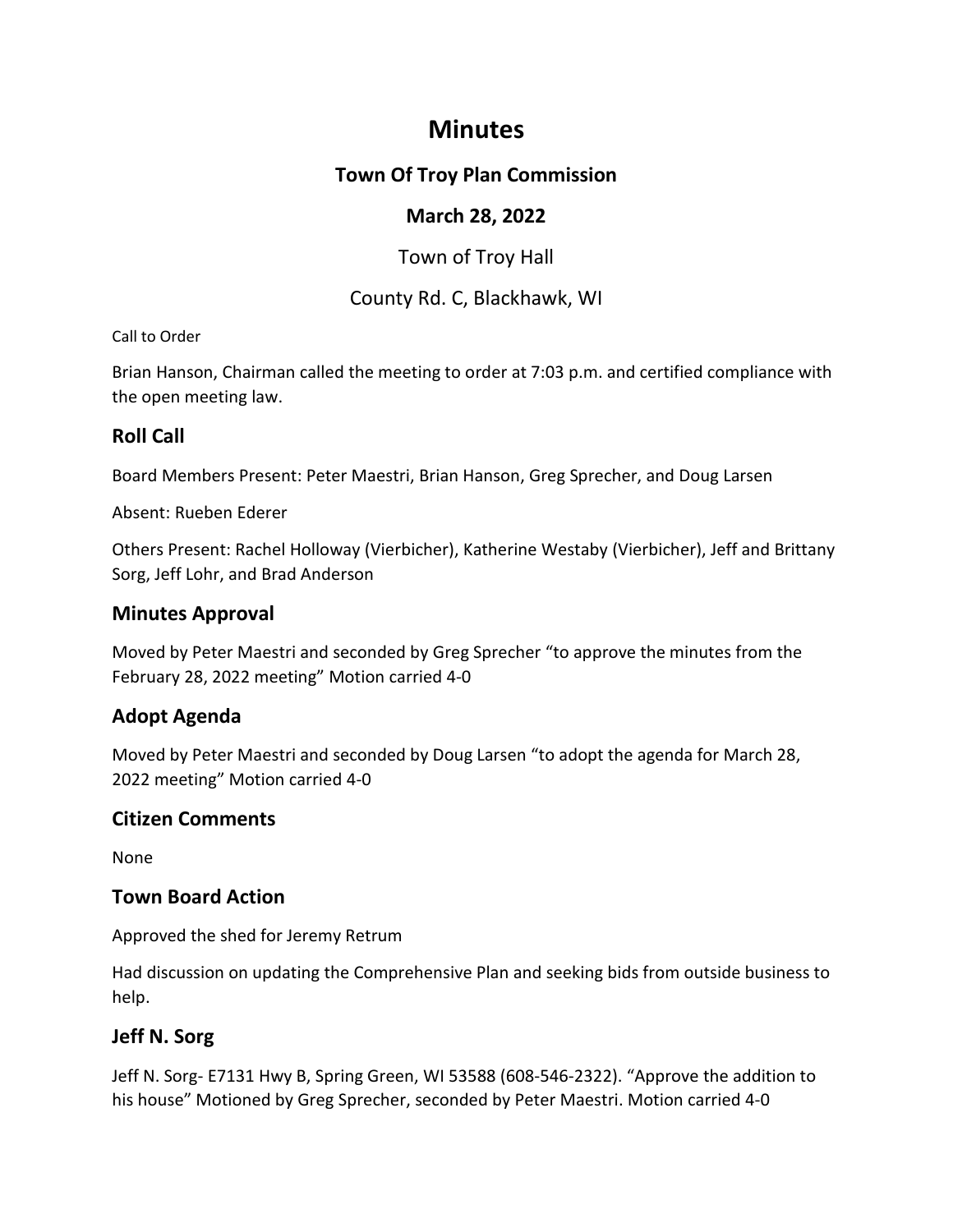# **Minutes**

# **Town Of Troy Plan Commission**

# **March 28, 2022**

Town of Troy Hall

## County Rd. C, Blackhawk, WI

#### Call to Order

Brian Hanson, Chairman called the meeting to order at 7:03 p.m. and certified compliance with the open meeting law.

# **Roll Call**

Board Members Present: Peter Maestri, Brian Hanson, Greg Sprecher, and Doug Larsen

Absent: Rueben Ederer

Others Present: Rachel Holloway (Vierbicher), Katherine Westaby (Vierbicher), Jeff and Brittany Sorg, Jeff Lohr, and Brad Anderson

## **Minutes Approval**

Moved by Peter Maestri and seconded by Greg Sprecher "to approve the minutes from the February 28, 2022 meeting" Motion carried 4-0

# **Adopt Agenda**

Moved by Peter Maestri and seconded by Doug Larsen "to adopt the agenda for March 28, 2022 meeting" Motion carried 4-0

## **Citizen Comments**

None

## **Town Board Action**

Approved the shed for Jeremy Retrum

Had discussion on updating the Comprehensive Plan and seeking bids from outside business to help.

# **Jeff N. Sorg**

Jeff N. Sorg- E7131 Hwy B, Spring Green, WI 53588 (608-546-2322). "Approve the addition to his house" Motioned by Greg Sprecher, seconded by Peter Maestri. Motion carried 4-0